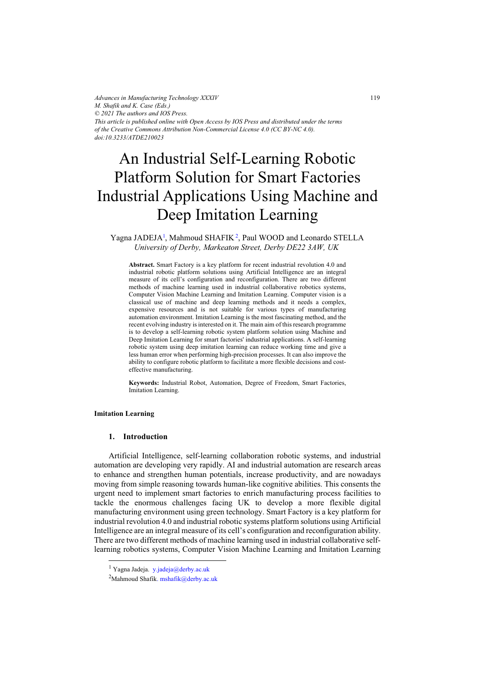*Advances in Manufacturing Technology XXXIV M. Shafik and K. Case (Eds.) © 2021 The authors and IOS Press. This article is published online with Open Access by IOS Press and distributed under the terms of the Creative Commons Attribution Non-Commercial License 4.0 (CC BY-NC 4.0). doi:10.3233/ATDE210023*

# An Industrial Self-Learning Robotic Platform Solution for Smart Factories Industrial Applications Using Machine and Deep Imitation Learning

# Yagna JADEJA<sup>1</sup>, Mahmoud SHAFIK<sup>2</sup>, Paul WOOD and Leonardo STELLA *University of Derby, Markeaton Street, Derby DE22 3AW, UK*

**Abstract.** Smart Factory is a key platform for recent industrial revolution 4.0 and industrial robotic platform solutions using Artificial Intelligence are an integral measure of its cell's configuration and reconfiguration. There are two different methods of machine learning used in industrial collaborative robotics systems, Computer Vision Machine Learning and Imitation Learning. Computer vision is a classical use of machine and deep learning methods and it needs a complex, expensive resources and is not suitable for various types of manufacturing automation environment. Imitation Learning is the most fascinating method, and the recent evolving industry is interested on it. The main aim of this research programme is to develop a self-learning robotic system platform solution using Machine and Deep Imitation Learning for smart factories' industrial applications. A self-learning robotic system using deep imitation learning can reduce working time and give a less human error when performing high-precision processes. It can also improve the ability to configure robotic platform to facilitate a more flexible decisions and costeffective manufacturing.

**Keywords:** Industrial Robot, Automation, Degree of Freedom, Smart Factories, Imitation Learning.

### **Imitation Learning**

## **1. Introduction**

Artificial Intelligence, self-learning collaboration robotic systems, and industrial automation are developing very rapidly. AI and industrial automation are research areas to enhance and strengthen human potentials, increase productivity, and are nowadays moving from simple reasoning towards human-like cognitive abilities. This consents the urgent need to implement smart factories to enrich manufacturing process facilities to tackle the enormous challenges facing UK to develop a more flexible digital manufacturing environment using green technology. Smart Factory is a key platform for industrial revolution 4.0 and industrial robotic systems platform solutions using Artificial Intelligence are an integral measure of its cell's configuration and reconfiguration ability. There are two different methods of machine learning used in industrial collaborative selflearning robotics systems, Computer Vision Machine Learning and Imitation Learning

<sup>&</sup>lt;sup>1</sup> Yagna Jadeja. [y.jadeja@derby.ac.uk](mailto:y.jadeja@derby.ac.uk)

<sup>&</sup>lt;sup>2</sup>Mahmoud Shafik[. mshafik@derby.ac.uk](mailto:mshafik@derby.ac.uk)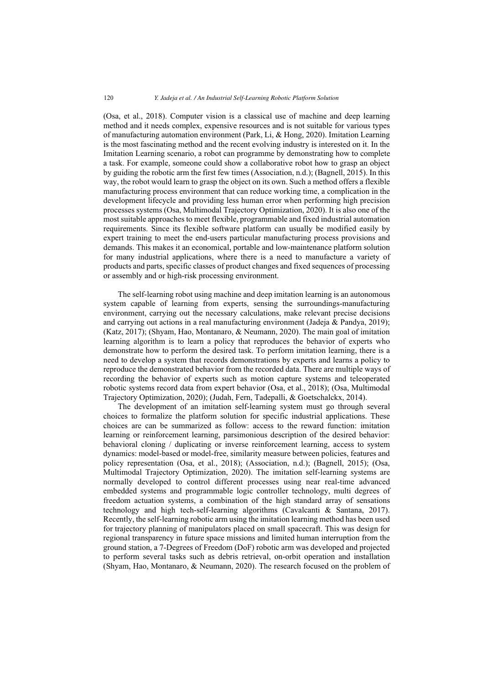(Osa, et al., 2018). Computer vision is a classical use of machine and deep learning method and it needs complex, expensive resources and is not suitable for various types of manufacturing automation environment (Park, Li, & Hong, 2020). Imitation Learning is the most fascinating method and the recent evolving industry is interested on it. In the Imitation Learning scenario, a robot can programme by demonstrating how to complete a task. For example, someone could show a collaborative robot how to grasp an object by guiding the robotic arm the first few times (Association, n.d.); (Bagnell, 2015). In this way, the robot would learn to grasp the object on its own. Such a method offers a flexible manufacturing process environment that can reduce working time, a complication in the development lifecycle and providing less human error when performing high precision processes systems (Osa, Multimodal Trajectory Optimization, 2020). It is also one of the most suitable approaches to meet flexible, programmable and fixed industrial automation requirements. Since its flexible software platform can usually be modified easily by expert training to meet the end-users particular manufacturing process provisions and demands. This makes it an economical, portable and low-maintenance platform solution for many industrial applications, where there is a need to manufacture a variety of products and parts, specific classes of product changes and fixed sequences of processing or assembly and or high-risk processing environment.

The self-learning robot using machine and deep imitation learning is an autonomous system capable of learning from experts, sensing the surroundings-manufacturing environment, carrying out the necessary calculations, make relevant precise decisions and carrying out actions in a real manufacturing environment (Jadeja & Pandya, 2019); (Katz, 2017); (Shyam, Hao, Montanaro, & Neumann, 2020). The main goal of imitation learning algorithm is to learn a policy that reproduces the behavior of experts who demonstrate how to perform the desired task. To perform imitation learning, there is a need to develop a system that records demonstrations by experts and learns a policy to reproduce the demonstrated behavior from the recorded data. There are multiple ways of recording the behavior of experts such as motion capture systems and teleoperated robotic systems record data from expert behavior (Osa, et al., 2018); (Osa, Multimodal Trajectory Optimization, 2020); (Judah, Fern, Tadepalli, & Goetschalckx, 2014).

The development of an imitation self-learning system must go through several choices to formalize the platform solution for specific industrial applications. These choices are can be summarized as follow: access to the reward function: imitation learning or reinforcement learning, parsimonious description of the desired behavior: behavioral cloning / duplicating or inverse reinforcement learning, access to system dynamics: model-based or model-free, similarity measure between policies, features and policy representation (Osa, et al., 2018); (Association, n.d.); (Bagnell, 2015); (Osa, Multimodal Trajectory Optimization, 2020). The imitation self-learning systems are normally developed to control different processes using near real-time advanced embedded systems and programmable logic controller technology, multi degrees of freedom actuation systems, a combination of the high standard array of sensations technology and high tech-self-learning algorithms (Cavalcanti & Santana, 2017). Recently, the self-learning robotic arm using the imitation learning method has been used for trajectory planning of manipulators placed on small spacecraft. This was design for regional transparency in future space missions and limited human interruption from the ground station, a 7-Degrees of Freedom (DoF) robotic arm was developed and projected to perform several tasks such as debris retrieval, on-orbit operation and installation (Shyam, Hao, Montanaro, & Neumann, 2020). The research focused on the problem of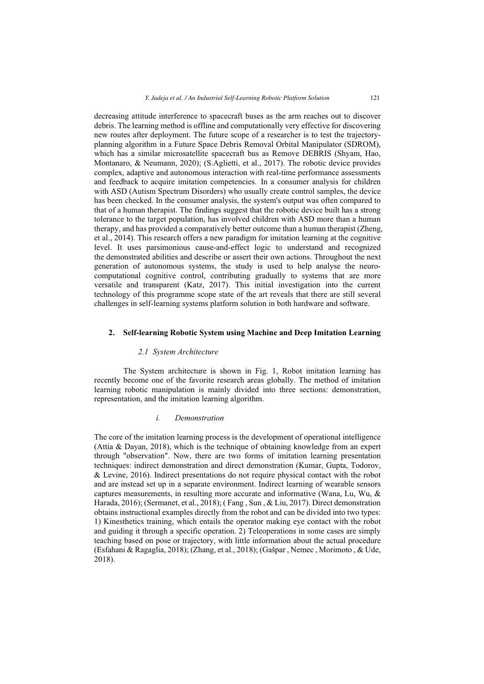decreasing attitude interference to spacecraft buses as the arm reaches out to discover debris. The learning method is offline and computationally very effective for discovering new routes after deployment. The future scope of a researcher is to test the trajectoryplanning algorithm in a Future Space Debris Removal Orbital Manipulator (SDROM), which has a similar microsatellite spacecraft bus as Remove DEBRIS (Shyam, Hao, Montanaro, & Neumann, 2020); (S.Aglietti, et al., 2017). The robotic device provides complex, adaptive and autonomous interaction with real-time performance assessments and feedback to acquire imitation competencies. In a consumer analysis for children with ASD (Autism Spectrum Disorders) who usually create control samples, the device has been checked. In the consumer analysis, the system's output was often compared to that of a human therapist. The findings suggest that the robotic device built has a strong tolerance to the target population, has involved children with ASD more than a human therapy, and has provided a comparatively better outcome than a human therapist (Zheng, et al., 2014). This research offers a new paradigm for imitation learning at the cognitive level. It uses parsimonious cause-and-effect logic to understand and recognized the demonstrated abilities and describe or assert their own actions. Throughout the next generation of autonomous systems, the study is used to help analyse the neurocomputational cognitive control, contributing gradually to systems that are more versatile and transparent (Katz, 2017). This initial investigation into the current technology of this programme scope state of the art reveals that there are still several challenges in self-learning systems platform solution in both hardware and software.

# **2. Self-learning Robotic System using Machine and Deep Imitation Learning**

#### *2.1 System Architecture*

The System architecture is shown in Fig. 1, Robot imitation learning has recently become one of the favorite research areas globally. The method of imitation learning robotic manipulation is mainly divided into three sections: demonstration, representation, and the imitation learning algorithm.

## *i. Demonstration*

The core of the imitation learning process is the development of operational intelligence (Attia & Dayan, 2018), which is the technique of obtaining knowledge from an expert through "observation". Now, there are two forms of imitation learning presentation techniques: indirect demonstration and direct demonstration (Kumar, Gupta, Todorov, & Levine, 2016). Indirect presentations do not require physical contact with the robot and are instead set up in a separate environment. Indirect learning of wearable sensors captures measurements, in resulting more accurate and informative (Wana, Lu, Wu, & Harada, 2016); (Sermanet, et al., 2018); ( Fang , Sun , & Liu, 2017). Direct demonstration obtains instructional examples directly from the robot and can be divided into two types: 1) Kinesthetics training, which entails the operator making eye contact with the robot and guiding it through a specific operation. 2) Teleoperations in some cases are simply teaching based on pose or trajectory, with little information about the actual procedure (Esfahani & Ragaglia, 2018); (Zhang, et al., 2018); (Gašpar , Nemec , Morimoto , & Ude, 2018).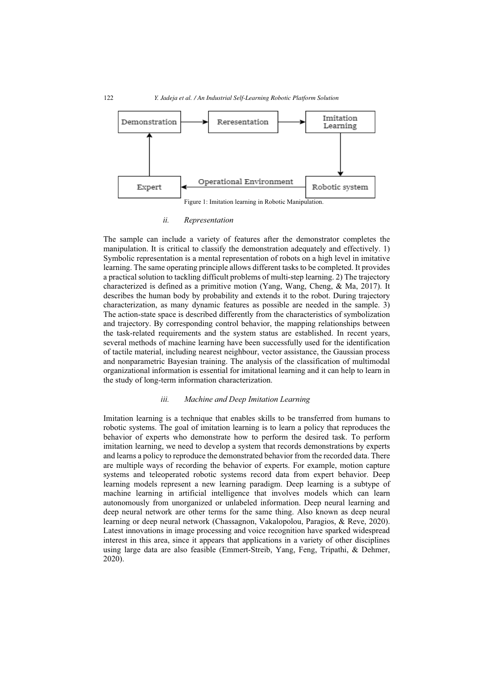

#### *ii. Representation*

The sample can include a variety of features after the demonstrator completes the manipulation. It is critical to classify the demonstration adequately and effectively. 1) Symbolic representation is a mental representation of robots on a high level in imitative learning. The same operating principle allows different tasks to be completed. It provides a practical solution to tackling difficult problems of multi-step learning. 2) The trajectory characterized is defined as a primitive motion (Yang, Wang, Cheng, & Ma, 2017). It describes the human body by probability and extends it to the robot. During trajectory characterization, as many dynamic features as possible are needed in the sample. 3) The action-state space is described differently from the characteristics of symbolization and trajectory. By corresponding control behavior, the mapping relationships between the task-related requirements and the system status are established. In recent years, several methods of machine learning have been successfully used for the identification of tactile material, including nearest neighbour, vector assistance, the Gaussian process and nonparametric Bayesian training. The analysis of the classification of multimodal organizational information is essential for imitational learning and it can help to learn in the study of long-term information characterization.

## *iii. Machine and Deep Imitation Learning*

Imitation learning is a technique that enables skills to be transferred from humans to robotic systems. The goal of imitation learning is to learn a policy that reproduces the behavior of experts who demonstrate how to perform the desired task. To perform imitation learning, we need to develop a system that records demonstrations by experts and learns a policy to reproduce the demonstrated behavior from the recorded data. There are multiple ways of recording the behavior of experts. For example, motion capture systems and teleoperated robotic systems record data from expert behavior. Deep learning models represent a new learning paradigm. Deep learning is a subtype of machine learning in artificial intelligence that involves models which can learn autonomously from unorganized or unlabeled information. Deep neural learning and deep neural network are other terms for the same thing. Also known as deep neural learning or deep neural network (Chassagnon, Vakalopolou, Paragios, & Reve, 2020). Latest innovations in image processing and voice recognition have sparked widespread interest in this area, since it appears that applications in a variety of other disciplines using large data are also feasible (Emmert-Streib, Yang, Feng, Tripathi, & Dehmer, 2020).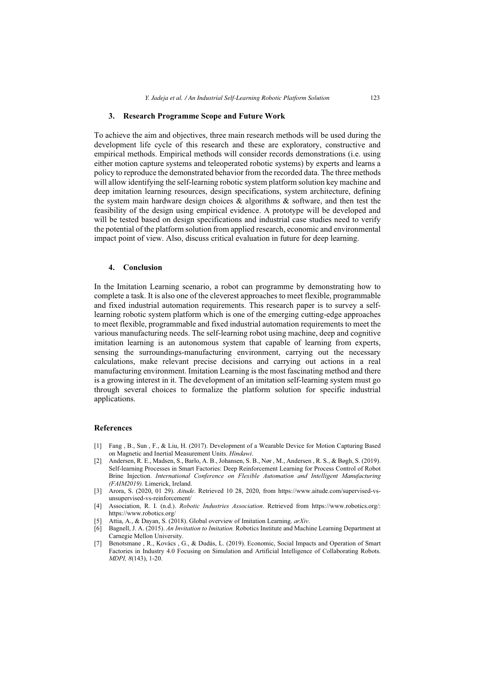#### **3. Research Programme Scope and Future Work**

To achieve the aim and objectives, three main research methods will be used during the development life cycle of this research and these are exploratory, constructive and empirical methods. Empirical methods will consider records demonstrations (i.e. using either motion capture systems and teleoperated robotic systems) by experts and learns a policy to reproduce the demonstrated behavior from the recorded data. The three methods will allow identifying the self-learning robotic system platform solution key machine and deep imitation learning resources, design specifications, system architecture, defining the system main hardware design choices & algorithms & software, and then test the feasibility of the design using empirical evidence. A prototype will be developed and will be tested based on design specifications and industrial case studies need to verify the potential of the platform solution from applied research, economic and environmental impact point of view. Also, discuss critical evaluation in future for deep learning.

#### **4. Conclusion**

In the Imitation Learning scenario, a robot can programme by demonstrating how to complete a task. It is also one of the cleverest approaches to meet flexible, programmable and fixed industrial automation requirements. This research paper is to survey a selflearning robotic system platform which is one of the emerging cutting-edge approaches to meet flexible, programmable and fixed industrial automation requirements to meet the various manufacturing needs. The self-learning robot using machine, deep and cognitive imitation learning is an autonomous system that capable of learning from experts, sensing the surroundings-manufacturing environment, carrying out the necessary calculations, make relevant precise decisions and carrying out actions in a real manufacturing environment. Imitation Learning is the most fascinating method and there is a growing interest in it. The development of an imitation self-learning system must go through several choices to formalize the platform solution for specific industrial applications.

#### **References**

- [1] Fang , B., Sun , F., & Liu, H. (2017). Development of a Wearable Device for Motion Capturing Based on Magnetic and Inertial Measurement Units. *Hindawi*.
- [2] Andersen, R. E., Madsen, S., Barlo, A. B., Johansen, S. B., Nør , M., Andersen , R. S., & Bøgh, S. (2019). Self-learning Processes in Smart Factories: Deep Reinforcement Learning for Process Control of Robot Brine Injection. *International Conference on Flexible Automation and Intelligent Manufacturing (FAIM2019).* Limerick, Ireland.
- [3] Arora, S. (2020, 01 29). *Aitude*. Retrieved 10 28, 2020, from https://www.aitude.com/supervised-vsunsupervised-vs-reinforcement/
- [4] Association, R. I. (n.d.). *Robotic Industries Association*. Retrieved from https://www.robotics.org/: https://www.robotics.org/
- [5] Attia, A., & Dayan, S. (2018). Global overview of Imitation Learning. *arXiv*.
- [6] Bagnell, J. A. (2015). *An Invitation to Imitation.* Robotics Institute and Machine Learning Department at Carnegie Mellon University.
- [7] Benotsmane , R., Kovács , G., & Dudás, L. (2019). Economic, Social Impacts and Operation of Smart Factories in Industry 4.0 Focusing on Simulation and Artificial Intelligence of Collaborating Robots. *MDPI, 8*(143), 1-20.